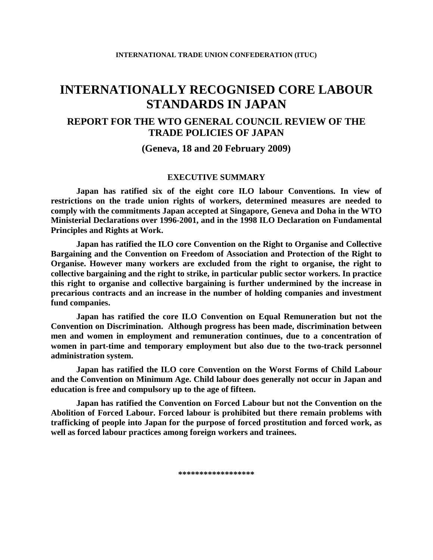# **INTERNATIONALLY RECOGNISED CORE LABOUR STANDARDS IN JAPAN**

# **REPORT FOR THE WTO GENERAL COUNCIL REVIEW OF THE TRADE POLICIES OF JAPAN**

**(Geneva, 18 and 20 February 2009)**

## **EXECUTIVE SUMMARY**

**Japan has ratified six of the eight core ILO labour Conventions. In view of restrictions on the trade union rights of workers, determined measures are needed to comply with the commitments Japan accepted at Singapore, Geneva and Doha in the WTO Ministerial Declarations over 1996-2001, and in the 1998 ILO Declaration on Fundamental Principles and Rights at Work.** 

**Japan has ratified the ILO core Convention on the Right to Organise and Collective Bargaining and the Convention on Freedom of Association and Protection of the Right to Organise. However many workers are excluded from the right to organise, the right to collective bargaining and the right to strike, in particular public sector workers. In practice this right to organise and collective bargaining is further undermined by the increase in precarious contracts and an increase in the number of holding companies and investment fund companies.** 

**Japan has ratified the core ILO Convention on Equal Remuneration but not the Convention on Discrimination. Although progress has been made, discrimination between men and women in employment and remuneration continues, due to a concentration of women in part-time and temporary employment but also due to the two-track personnel administration system.** 

**Japan has ratified the ILO core Convention on the Worst Forms of Child Labour and the Convention on Minimum Age. Child labour does generally not occur in Japan and education is free and compulsory up to the age of fifteen.** 

**Japan has ratified the Convention on Forced Labour but not the Convention on the Abolition of Forced Labour. Forced labour is prohibited but there remain problems with trafficking of people into Japan for the purpose of forced prostitution and forced work, as well as forced labour practices among foreign workers and trainees.** 

**\*\*\*\*\*\*\*\*\*\*\*\*\*\*\*\*\*\***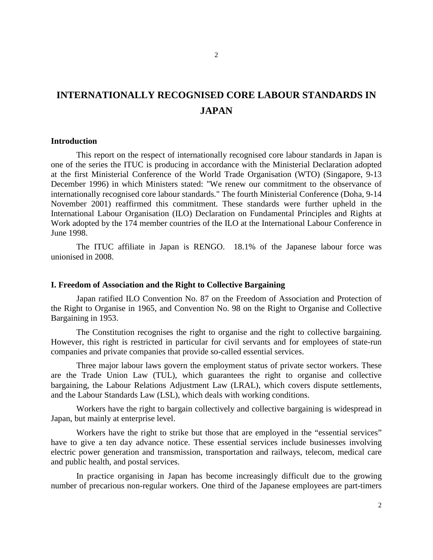# **INTERNATIONALLY RECOGNISED CORE LABOUR STANDARDS IN JAPAN**

# **Introduction**

This report on the respect of internationally recognised core labour standards in Japan is one of the series the ITUC is producing in accordance with the Ministerial Declaration adopted at the first Ministerial Conference of the World Trade Organisation (WTO) (Singapore, 9-13 December 1996) in which Ministers stated: "We renew our commitment to the observance of internationally recognised core labour standards." The fourth Ministerial Conference (Doha, 9-14 November 2001) reaffirmed this commitment. These standards were further upheld in the International Labour Organisation (ILO) Declaration on Fundamental Principles and Rights at Work adopted by the 174 member countries of the ILO at the International Labour Conference in June 1998.

The ITUC affiliate in Japan is RENGO. 18.1% of the Japanese labour force was unionised in 2008.

## **I. Freedom of Association and the Right to Collective Bargaining**

Japan ratified ILO Convention No. 87 on the Freedom of Association and Protection of the Right to Organise in 1965, and Convention No. 98 on the Right to Organise and Collective Bargaining in 1953.

The Constitution recognises the right to organise and the right to collective bargaining. However, this right is restricted in particular for civil servants and for employees of state-run companies and private companies that provide so-called essential services.

Three major labour laws govern the employment status of private sector workers. These are the Trade Union Law (TUL), which guarantees the right to organise and collective bargaining, the Labour Relations Adjustment Law (LRAL), which covers dispute settlements, and the Labour Standards Law (LSL), which deals with working conditions.

Workers have the right to bargain collectively and collective bargaining is widespread in Japan, but mainly at enterprise level.

Workers have the right to strike but those that are employed in the "essential services" have to give a ten day advance notice. These essential services include businesses involving electric power generation and transmission, transportation and railways, telecom, medical care and public health, and postal services.

In practice organising in Japan has become increasingly difficult due to the growing number of precarious non-regular workers. One third of the Japanese employees are part-timers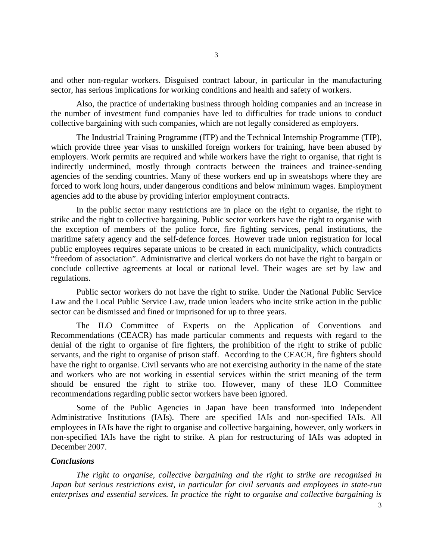and other non-regular workers. Disguised contract labour, in particular in the manufacturing sector, has serious implications for working conditions and health and safety of workers.

Also, the practice of undertaking business through holding companies and an increase in the number of investment fund companies have led to difficulties for trade unions to conduct collective bargaining with such companies, which are not legally considered as employers.

The Industrial Training Programme (ITP) and the Technical Internship Programme (TIP), which provide three year visas to unskilled foreign workers for training, have been abused by employers. Work permits are required and while workers have the right to organise, that right is indirectly undermined, mostly through contracts between the trainees and trainee-sending agencies of the sending countries. Many of these workers end up in sweatshops where they are forced to work long hours, under dangerous conditions and below minimum wages. Employment agencies add to the abuse by providing inferior employment contracts.

In the public sector many restrictions are in place on the right to organise, the right to strike and the right to collective bargaining. Public sector workers have the right to organise with the exception of members of the police force, fire fighting services, penal institutions, the maritime safety agency and the self-defence forces. However trade union registration for local public employees requires separate unions to be created in each municipality, which contradicts "freedom of association". Administrative and clerical workers do not have the right to bargain or conclude collective agreements at local or national level. Their wages are set by law and regulations.

Public sector workers do not have the right to strike. Under the National Public Service Law and the Local Public Service Law, trade union leaders who incite strike action in the public sector can be dismissed and fined or imprisoned for up to three years.

The ILO Committee of Experts on the Application of Conventions and Recommendations (CEACR) has made particular comments and requests with regard to the denial of the right to organise of fire fighters, the prohibition of the right to strike of public servants, and the right to organise of prison staff. According to the CEACR, fire fighters should have the right to organise. Civil servants who are not exercising authority in the name of the state and workers who are not working in essential services within the strict meaning of the term should be ensured the right to strike too. However, many of these ILO Committee recommendations regarding public sector workers have been ignored.

Some of the Public Agencies in Japan have been transformed into Independent Administrative Institutions (IAIs). There are specified IAIs and non-specified IAIs. All employees in IAIs have the right to organise and collective bargaining, however, only workers in non-specified IAIs have the right to strike. A plan for restructuring of IAIs was adopted in December 2007.

#### *Conclusions*

*The right to organise, collective bargaining and the right to strike are recognised in Japan but serious restrictions exist, in particular for civil servants and employees in state-run enterprises and essential services. In practice the right to organise and collective bargaining is*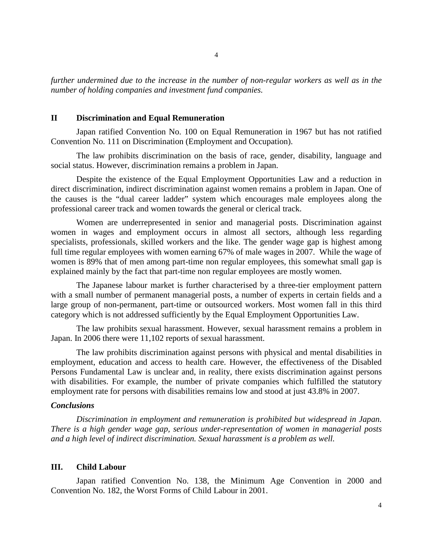*further undermined due to the increase in the number of non-regular workers as well as in the number of holding companies and investment fund companies.* 

# **II Discrimination and Equal Remuneration**

Japan ratified Convention No. 100 on Equal Remuneration in 1967 but has not ratified Convention No. 111 on Discrimination (Employment and Occupation).

The law prohibits discrimination on the basis of race, gender, disability, language and social status. However, discrimination remains a problem in Japan.

Despite the existence of the Equal Employment Opportunities Law and a reduction in direct discrimination, indirect discrimination against women remains a problem in Japan. One of the causes is the "dual career ladder" system which encourages male employees along the professional career track and women towards the general or clerical track.

Women are underrepresented in senior and managerial posts. Discrimination against women in wages and employment occurs in almost all sectors, although less regarding specialists, professionals, skilled workers and the like. The gender wage gap is highest among full time regular employees with women earning 67% of male wages in 2007. While the wage of women is 89% that of men among part-time non regular employees, this somewhat small gap is explained mainly by the fact that part-time non regular employees are mostly women.

The Japanese labour market is further characterised by a three-tier employment pattern with a small number of permanent managerial posts, a number of experts in certain fields and a large group of non-permanent, part-time or outsourced workers. Most women fall in this third category which is not addressed sufficiently by the Equal Employment Opportunities Law.

The law prohibits sexual harassment. However, sexual harassment remains a problem in Japan. In 2006 there were 11,102 reports of sexual harassment.

The law prohibits discrimination against persons with physical and mental disabilities in employment, education and access to health care. However, the effectiveness of the Disabled Persons Fundamental Law is unclear and, in reality, there exists discrimination against persons with disabilities. For example, the number of private companies which fulfilled the statutory employment rate for persons with disabilities remains low and stood at just 43.8% in 2007.

#### *Conclusions*

*Discrimination in employment and remuneration is prohibited but widespread in Japan. There is a high gender wage gap, serious under-representation of women in managerial posts and a high level of indirect discrimination. Sexual harassment is a problem as well.* 

# **III. Child Labour**

Japan ratified Convention No. 138, the Minimum Age Convention in 2000 and Convention No. 182, the Worst Forms of Child Labour in 2001.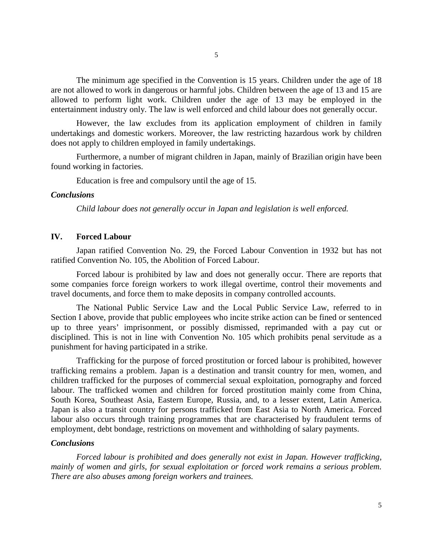The minimum age specified in the Convention is 15 years. Children under the age of 18 are not allowed to work in dangerous or harmful jobs. Children between the age of 13 and 15 are allowed to perform light work. Children under the age of 13 may be employed in the entertainment industry only. The law is well enforced and child labour does not generally occur.

However, the law excludes from its application employment of children in family undertakings and domestic workers. Moreover, the law restricting hazardous work by children does not apply to children employed in family undertakings.

Furthermore, a number of migrant children in Japan, mainly of Brazilian origin have been found working in factories.

Education is free and compulsory until the age of 15.

# *Conclusions*

*Child labour does not generally occur in Japan and legislation is well enforced.* 

### **IV. Forced Labour**

Japan ratified Convention No. 29, the Forced Labour Convention in 1932 but has not ratified Convention No. 105, the Abolition of Forced Labour.

Forced labour is prohibited by law and does not generally occur. There are reports that some companies force foreign workers to work illegal overtime, control their movements and travel documents, and force them to make deposits in company controlled accounts.

The National Public Service Law and the Local Public Service Law, referred to in Section I above, provide that public employees who incite strike action can be fined or sentenced up to three years' imprisonment, or possibly dismissed, reprimanded with a pay cut or disciplined. This is not in line with Convention No. 105 which prohibits penal servitude as a punishment for having participated in a strike.

Trafficking for the purpose of forced prostitution or forced labour is prohibited, however trafficking remains a problem. Japan is a destination and transit country for men, women, and children trafficked for the purposes of commercial sexual exploitation, pornography and forced labour. The trafficked women and children for forced prostitution mainly come from China, South Korea, Southeast Asia, Eastern Europe, Russia, and, to a lesser extent, Latin America. Japan is also a transit country for persons trafficked from East Asia to North America. Forced labour also occurs through training programmes that are characterised by fraudulent terms of employment, debt bondage, restrictions on movement and withholding of salary payments.

#### *Conclusions*

*Forced labour is prohibited and does generally not exist in Japan. However trafficking, mainly of women and girls, for sexual exploitation or forced work remains a serious problem. There are also abuses among foreign workers and trainees.*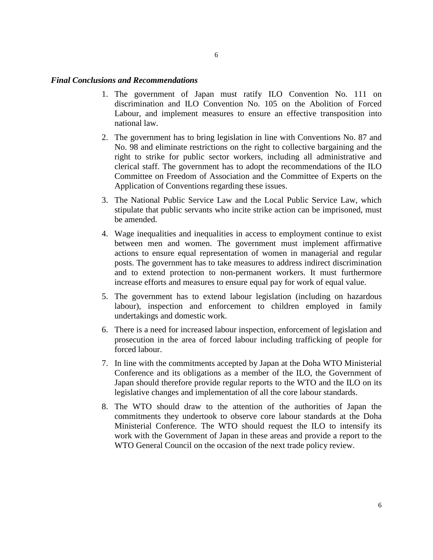#### *Final Conclusions and Recommendations*

- 1. The government of Japan must ratify ILO Convention No. 111 on discrimination and ILO Convention No. 105 on the Abolition of Forced Labour, and implement measures to ensure an effective transposition into national law.
- 2. The government has to bring legislation in line with Conventions No. 87 and No. 98 and eliminate restrictions on the right to collective bargaining and the right to strike for public sector workers, including all administrative and clerical staff. The government has to adopt the recommendations of the ILO Committee on Freedom of Association and the Committee of Experts on the Application of Conventions regarding these issues.
- 3. The National Public Service Law and the Local Public Service Law, which stipulate that public servants who incite strike action can be imprisoned, must be amended.
- 4. Wage inequalities and inequalities in access to employment continue to exist between men and women. The government must implement affirmative actions to ensure equal representation of women in managerial and regular posts. The government has to take measures to address indirect discrimination and to extend protection to non-permanent workers. It must furthermore increase efforts and measures to ensure equal pay for work of equal value.
- 5. The government has to extend labour legislation (including on hazardous labour), inspection and enforcement to children employed in family undertakings and domestic work.
- 6. There is a need for increased labour inspection, enforcement of legislation and prosecution in the area of forced labour including trafficking of people for forced labour.
- 7. In line with the commitments accepted by Japan at the Doha WTO Ministerial Conference and its obligations as a member of the ILO, the Government of Japan should therefore provide regular reports to the WTO and the ILO on its legislative changes and implementation of all the core labour standards.
- 8. The WTO should draw to the attention of the authorities of Japan the commitments they undertook to observe core labour standards at the Doha Ministerial Conference. The WTO should request the ILO to intensify its work with the Government of Japan in these areas and provide a report to the WTO General Council on the occasion of the next trade policy review.